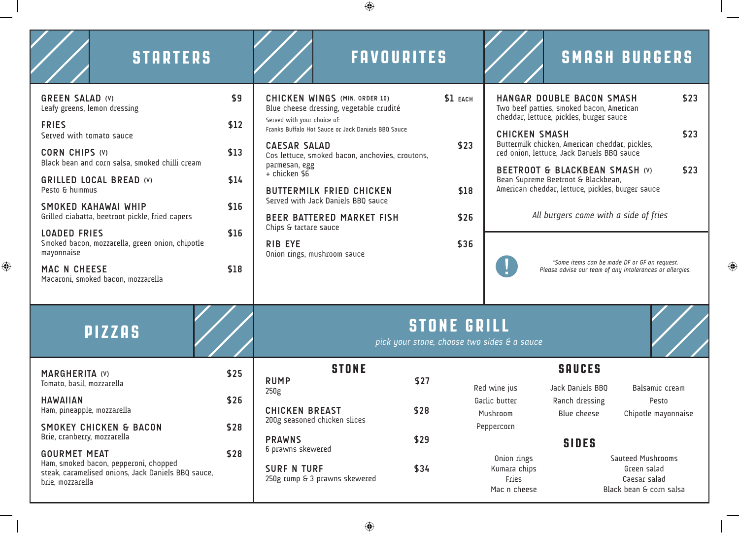$\bigoplus$ 

| <b>STARTERS</b>                                                                                                                        |      | <b>FAVOURITES</b>                                                                                                                                                                                                                                                                                                                   |          |                                                                                                      | <b>SMASH BURGERS</b>                                                                                     |                         |
|----------------------------------------------------------------------------------------------------------------------------------------|------|-------------------------------------------------------------------------------------------------------------------------------------------------------------------------------------------------------------------------------------------------------------------------------------------------------------------------------------|----------|------------------------------------------------------------------------------------------------------|----------------------------------------------------------------------------------------------------------|-------------------------|
| <b>GREEN SALAD (V)</b><br>Leafy greens, lemon dressing                                                                                 | \$9  | CHICKEN WINGS (MIN. ORDER 10)<br>Blue cheese dressing, vegetable crudité                                                                                                                                                                                                                                                            | \$1 EACH | cheddar, lettuce, pickles, burger sauce                                                              | HANGAR DOUBLE BACON SMASH<br>Two beef patties, smoked bacon, American                                    | \$23                    |
| <b>FRIES</b><br>Served with tomato sauce                                                                                               | \$12 | Served with your choice of:<br>Franks Buffalo Hot Sauce or Jack Daniels BBQ Sauce                                                                                                                                                                                                                                                   | \$23     | <b>CHICKEN SMASH</b>                                                                                 |                                                                                                          | \$23                    |
| CORN CHIPS (V)<br>Black bean and corn salsa, smoked chilli cream                                                                       | \$13 | <b>CAESAR SALAD</b><br>Cos lettuce, smoked bacon, anchovies, croutons,<br>parmesan, egg                                                                                                                                                                                                                                             |          | Buttermilk chicken, American cheddar, pickles,<br>red onion, lettuce, Jack Daniels BBQ sauce<br>\$23 |                                                                                                          |                         |
| <b>GRILLED LOCAL BREAD (V)</b><br>Pesto & hummus                                                                                       | \$14 | BEETROOT & BLACKBEAN SMASH (V)<br>$+$ chicken \$6<br>Bean Supreme Beetroot & Blackbean,<br>American cheddar, lettuce, pickles, burger sauce<br>\$18<br><b>BUTTERMILK FRIED CHICKEN</b><br>Served with Jack Daniels BBQ sauce<br>All burgers come with a side of fries<br>\$26<br>BEER BATTERED MARKET FISH<br>Chips & tartare sauce |          |                                                                                                      |                                                                                                          |                         |
| SMOKED KAHAWAI WHIP<br>Grilled ciabatta, beetroot pickle, fried capers                                                                 | \$16 |                                                                                                                                                                                                                                                                                                                                     |          |                                                                                                      |                                                                                                          |                         |
| <b>LOADED FRIES</b><br>Smoked bacon, mozzarella, green onion, chipotle<br>mayonnaise                                                   | \$16 | <b>RIB EYE</b><br>Onion rings, mushroom sauce                                                                                                                                                                                                                                                                                       | \$36     |                                                                                                      |                                                                                                          |                         |
| MAC N CHEESE<br>Macaroni, smoked bacon, mozzarella                                                                                     | \$18 |                                                                                                                                                                                                                                                                                                                                     |          |                                                                                                      | *Some items can be made DF or GF on request.<br>Please advise our team of any intolerances or allergies. |                         |
| <b>PIZZAS</b>                                                                                                                          |      | <b>STONE GRILL</b><br>pick your stone, choose two sides & a sauce                                                                                                                                                                                                                                                                   |          |                                                                                                      |                                                                                                          |                         |
| <b>MARGHERITA (V)</b>                                                                                                                  | \$25 | <b>STONE</b>                                                                                                                                                                                                                                                                                                                        |          | <b>SAUCES</b>                                                                                        |                                                                                                          |                         |
| Tomato, basil, mozzarella<br><b>HAWAIIAN</b>                                                                                           | \$26 | <b>RUMP</b><br>250g                                                                                                                                                                                                                                                                                                                 | \$27     | Red wine jus<br>Garlic butter                                                                        | Jack Daniels BBQ<br>Ranch dressing                                                                       | Balsamic cream<br>Pesto |
| Ham, pineapple, mozzarella                                                                                                             |      | <b>CHICKEN BREAST</b><br>200g seasoned chicken slices                                                                                                                                                                                                                                                                               | \$28     | Mushroom                                                                                             | Blue cheese                                                                                              | Chipotle mayonnaise     |
| <b>SMOKEY CHICKEN &amp; BACON</b><br>Brie, cranberry, mozzarella                                                                       | \$28 | <b>PRAWNS</b>                                                                                                                                                                                                                                                                                                                       | \$29     | Peppercorn                                                                                           | <b>SIDES</b>                                                                                             |                         |
| <b>GOURMET MEAT</b><br>Ham, smoked bacon, pepperoni, chopped<br>steak, caramelised onions, Jack Daniels BBQ sauce,<br>brie, mozzarella | \$28 | 6 prawns skewered<br><b>SURF N TURF</b><br>250g rump & 3 prawns skewered                                                                                                                                                                                                                                                            | \$34     | Onion rings<br>Kumara chips<br>Fries<br>Mac n cheese                                                 | Sauteed Mushrooms<br>Green salad<br>Caesar salad<br>Black bean & corn salsa                              |                         |

 $\bigoplus$ 

 $\bigoplus$ 

 $\bigoplus$